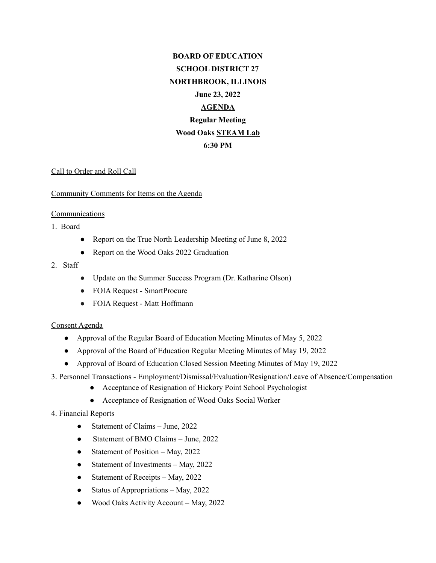# **BOARD OF EDUCATION SCHOOL DISTRICT 27 NORTHBROOK, ILLINOIS June 23, 2022 AGENDA Regular Meeting Wood Oaks STEAM Lab 6:30 PM**

## Call to Order and Roll Call

## Community Comments for Items on the Agenda

## Communications

1. Board

- Report on the True North Leadership Meeting of June 8, 2022
- Report on the Wood Oaks 2022 Graduation

## 2. Staff

- Update on the Summer Success Program (Dr. Katharine Olson)
- FOIA Request SmartProcure
- FOIA Request Matt Hoffmann

## Consent Agenda

- Approval of the Regular Board of Education Meeting Minutes of May 5, 2022
- Approval of the Board of Education Regular Meeting Minutes of May 19, 2022
- Approval of Board of Education Closed Session Meeting Minutes of May 19, 2022
- 3. Personnel Transactions Employment/Dismissal/Evaluation/Resignation/Leave of Absence/Compensation
	- Acceptance of Resignation of Hickory Point School Psychologist
	- Acceptance of Resignation of Wood Oaks Social Worker

## 4. Financial Reports

- Statement of Claims June, 2022
- Statement of BMO Claims June, 2022
- Statement of Position May, 2022
- Statement of Investments May, 2022
- Statement of Receipts May, 2022
- Status of Appropriations May,  $2022$
- Wood Oaks Activity Account May, 2022